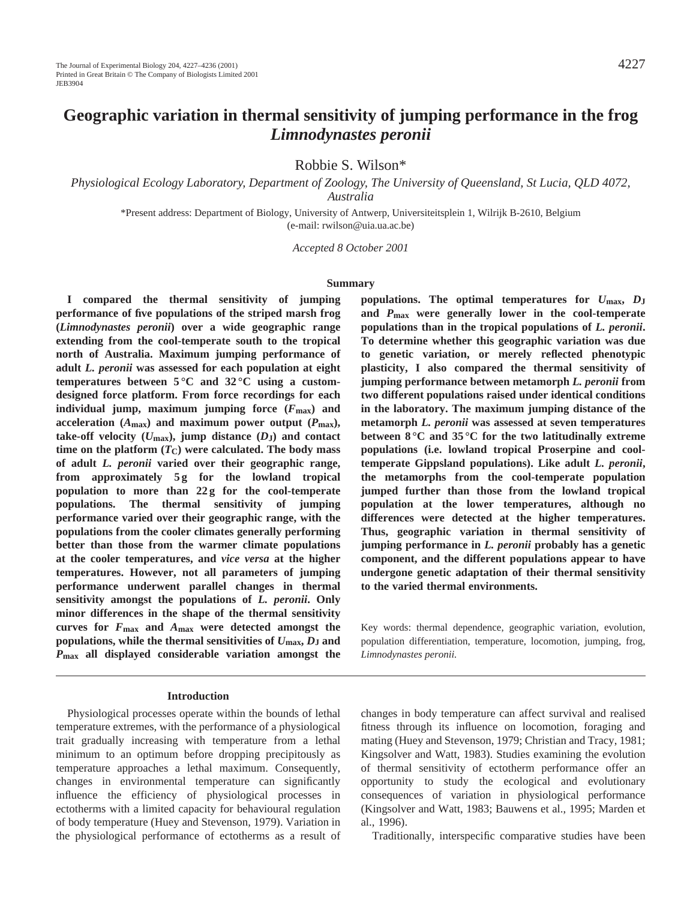# **Geographic variation in thermal sensitivity of jumping performance in the frog** *Limnodynastes peronii*

Robbie S. Wilson\*

*Physiological Ecology Laboratory, Department of Zoology, The University of Queensland, St Lucia, QLD 4072, Australia*

\*Present address: Department of Biology, University of Antwerp, Universiteitsplein 1, Wilrijk B-2610, Belgium (e-mail: rwilson@uia.ua.ac.be)

*Accepted 8 October 2001*

#### **Summary**

**I compared the thermal sensitivity of jumping performance of five populations of the striped marsh frog (***Limnodynastes peronii***) over a wide geographic range extending from the cool-temperate south to the tropical north of Australia. Maximum jumping performance of adult** *L. peronii* **was assessed for each population at eight temperatures between 5 °C and 32 °C using a customdesigned force platform. From force recordings for each individual jump, maximum jumping force (***F***max) and** acceleration  $(A_{\text{max}})$  and maximum power output  $(P_{\text{max}})$ , take-off velocity  $(U_{\text{max}})$ , jump distance  $(D_J)$  and contact time on the platform  $(T_C)$  were calculated. The body mass **of adult** *L. peronii* **varied over their geographic range,** from approximately 5g for the lowland tropical **population to more than 22 g for the cool-temperate populations. The thermal sensitivity of jumping performance varied over their geographic range, with the populations from the cooler climates generally performing better than those from the warmer climate populations at the cooler temperatures, and** *vice versa* **at the higher temperatures. However, not all parameters of jumping performance underwent parallel changes in thermal sensitivity amongst the populations of** *L. peronii***. Only minor differences in the shape of the thermal sensitivity curves for** *F***max and** *A***max were detected amongst the populations, while the thermal sensitivities of**  $U_{\text{max}}$ **,**  $D_J$  **and** *P***max all displayed considerable variation amongst the**

#### **Introduction**

Physiological processes operate within the bounds of lethal temperature extremes, with the performance of a physiological trait gradually increasing with temperature from a lethal minimum to an optimum before dropping precipitously as temperature approaches a lethal maximum. Consequently, changes in environmental temperature can significantly influence the efficiency of physiological processes in ectotherms with a limited capacity for behavioural regulation of body temperature (Huey and Stevenson, 1979). Variation in the physiological performance of ectotherms as a result of

**populations. The optimal temperatures for** *U***max,** *D***J and** *P***max were generally lower in the cool-temperate populations than in the tropical populations of** *L. peronii***. To determine whether this geographic variation was due to genetic variation, or merely reflected phenotypic plasticity, I also compared the thermal sensitivity of jumping performance between metamorph** *L. peronii* **from two different populations raised under identical conditions in the laboratory. The maximum jumping distance of the metamorph** *L. peronii* **was assessed at seven temperatures between 8 °C and 35 °C for the two latitudinally extreme populations (i.e. lowland tropical Proserpine and cooltemperate Gippsland populations). Like adult** *L. peronii***, the metamorphs from the cool-temperate population jumped further than those from the lowland tropical population at the lower temperatures, although no differences were detected at the higher temperatures. Thus, geographic variation in thermal sensitivity of jumping performance in** *L. peronii* **probably has a genetic component, and the different populations appear to have undergone genetic adaptation of their thermal sensitivity to the varied thermal environments.**

Key words: thermal dependence, geographic variation, evolution, population differentiation, temperature, locomotion, jumping, frog, *Limnodynastes peronii.*

changes in body temperature can affect survival and realised fitness through its influence on locomotion, foraging and mating (Huey and Stevenson, 1979; Christian and Tracy, 1981; Kingsolver and Watt, 1983). Studies examining the evolution of thermal sensitivity of ectotherm performance offer an opportunity to study the ecological and evolutionary consequences of variation in physiological performance (Kingsolver and Watt, 1983; Bauwens et al., 1995; Marden et al., 1996).

Traditionally, interspecific comparative studies have been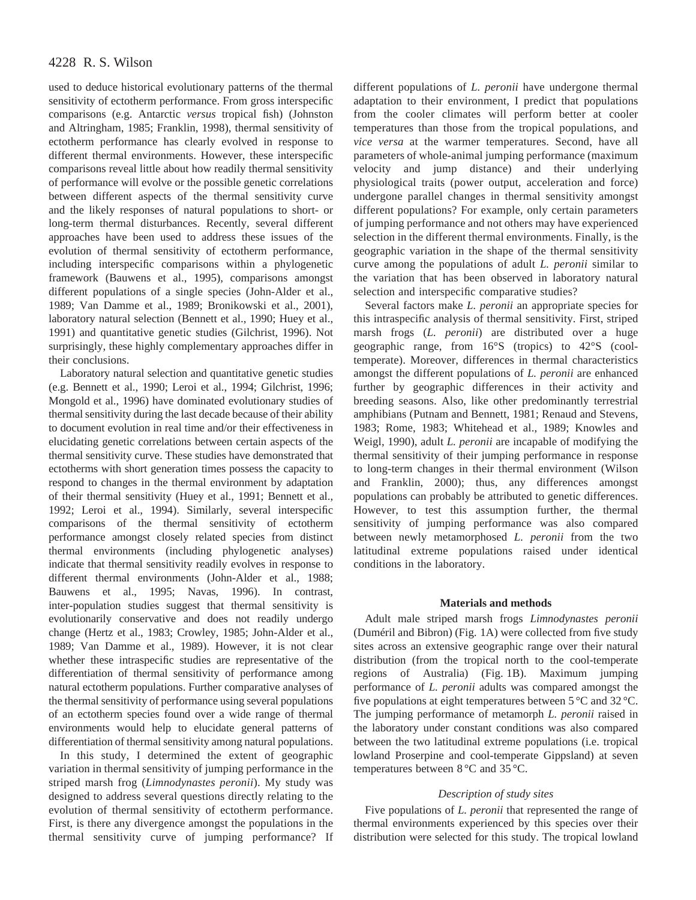used to deduce historical evolutionary patterns of the thermal sensitivity of ectotherm performance. From gross interspecific comparisons (e.g. Antarctic *versus* tropical fish) (Johnston and Altringham, 1985; Franklin, 1998), thermal sensitivity of ectotherm performance has clearly evolved in response to different thermal environments. However, these interspecific comparisons reveal little about how readily thermal sensitivity of performance will evolve or the possible genetic correlations between different aspects of the thermal sensitivity curve and the likely responses of natural populations to short- or long-term thermal disturbances. Recently, several different approaches have been used to address these issues of the evolution of thermal sensitivity of ectotherm performance, including interspecific comparisons within a phylogenetic framework (Bauwens et al., 1995), comparisons amongst different populations of a single species (John-Alder et al., 1989; Van Damme et al., 1989; Bronikowski et al., 2001), laboratory natural selection (Bennett et al., 1990; Huey et al., 1991) and quantitative genetic studies (Gilchrist, 1996). Not surprisingly, these highly complementary approaches differ in their conclusions.

Laboratory natural selection and quantitative genetic studies (e.g. Bennett et al., 1990; Leroi et al., 1994; Gilchrist, 1996; Mongold et al., 1996) have dominated evolutionary studies of thermal sensitivity during the last decade because of their ability to document evolution in real time and/or their effectiveness in elucidating genetic correlations between certain aspects of the thermal sensitivity curve. These studies have demonstrated that ectotherms with short generation times possess the capacity to respond to changes in the thermal environment by adaptation of their thermal sensitivity (Huey et al., 1991; Bennett et al., 1992; Leroi et al., 1994). Similarly, several interspecific comparisons of the thermal sensitivity of ectotherm performance amongst closely related species from distinct thermal environments (including phylogenetic analyses) indicate that thermal sensitivity readily evolves in response to different thermal environments (John-Alder et al., 1988; Bauwens et al., 1995; Navas, 1996). In contrast, inter-population studies suggest that thermal sensitivity is evolutionarily conservative and does not readily undergo change (Hertz et al., 1983; Crowley, 1985; John-Alder et al., 1989; Van Damme et al., 1989). However, it is not clear whether these intraspecific studies are representative of the differentiation of thermal sensitivity of performance among natural ectotherm populations. Further comparative analyses of the thermal sensitivity of performance using several populations of an ectotherm species found over a wide range of thermal environments would help to elucidate general patterns of differentiation of thermal sensitivity among natural populations.

In this study, I determined the extent of geographic variation in thermal sensitivity of jumping performance in the striped marsh frog (*Limnodynastes peronii*). My study was designed to address several questions directly relating to the evolution of thermal sensitivity of ectotherm performance. First, is there any divergence amongst the populations in the thermal sensitivity curve of jumping performance? If

different populations of *L. peronii* have undergone thermal adaptation to their environment, I predict that populations from the cooler climates will perform better at cooler temperatures than those from the tropical populations, and *vice versa* at the warmer temperatures. Second, have all parameters of whole-animal jumping performance (maximum velocity and jump distance) and their underlying physiological traits (power output, acceleration and force) undergone parallel changes in thermal sensitivity amongst different populations? For example, only certain parameters of jumping performance and not others may have experienced selection in the different thermal environments. Finally, is the geographic variation in the shape of the thermal sensitivity curve among the populations of adult *L. peronii* similar to the variation that has been observed in laboratory natural selection and interspecific comparative studies?

Several factors make *L. peronii* an appropriate species for this intraspecific analysis of thermal sensitivity. First, striped marsh frogs (*L. peronii*) are distributed over a huge geographic range, from 16°S (tropics) to 42°S (cooltemperate). Moreover, differences in thermal characteristics amongst the different populations of *L. peronii* are enhanced further by geographic differences in their activity and breeding seasons. Also, like other predominantly terrestrial amphibians (Putnam and Bennett, 1981; Renaud and Stevens, 1983; Rome, 1983; Whitehead et al., 1989; Knowles and Weigl, 1990), adult *L. peronii* are incapable of modifying the thermal sensitivity of their jumping performance in response to long-term changes in their thermal environment (Wilson and Franklin, 2000); thus, any differences amongst populations can probably be attributed to genetic differences. However, to test this assumption further, the thermal sensitivity of jumping performance was also compared between newly metamorphosed *L. peronii* from the two latitudinal extreme populations raised under identical conditions in the laboratory.

#### **Materials and methods**

Adult male striped marsh frogs *Limnodynastes peronii* (Duméril and Bibron) (Fig. 1A) were collected from five study sites across an extensive geographic range over their natural distribution (from the tropical north to the cool-temperate regions of Australia) (Fig. 1B). Maximum jumping performance of *L. peronii* adults was compared amongst the five populations at eight temperatures between 5 °C and 32 °C. The jumping performance of metamorph *L. peronii* raised in the laboratory under constant conditions was also compared between the two latitudinal extreme populations (i.e. tropical lowland Proserpine and cool-temperate Gippsland) at seven temperatures between 8 °C and 35 °C.

### *Description of study sites*

Five populations of *L. peronii* that represented the range of thermal environments experienced by this species over their distribution were selected for this study. The tropical lowland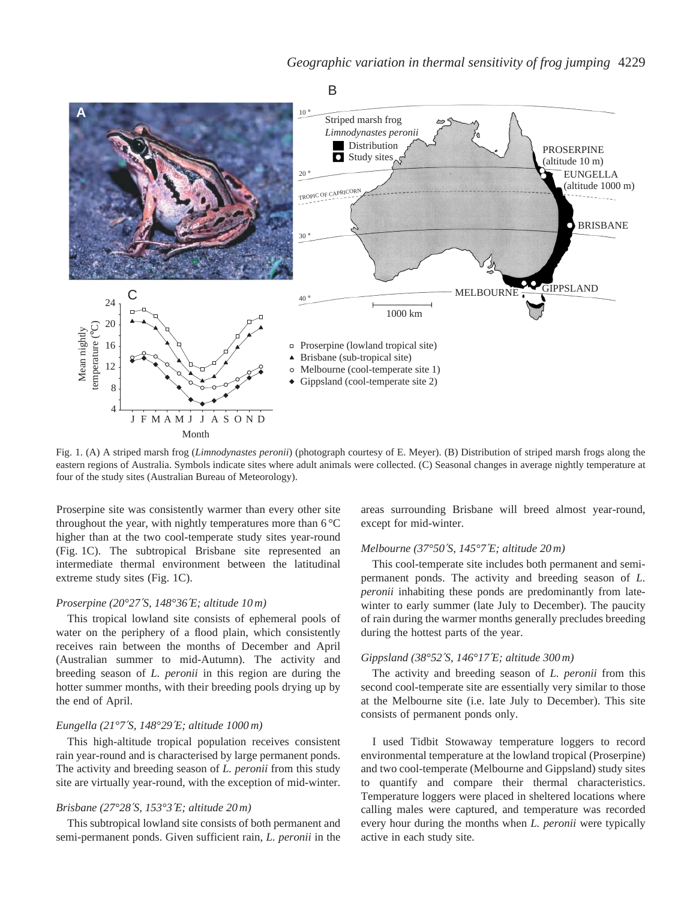

Fig. 1. (A) A striped marsh frog (*Limnodynastes peronii*) (photograph courtesy of E. Meyer). (B) Distribution of striped marsh frogs along the eastern regions of Australia. Symbols indicate sites where adult animals were collected. (C) Seasonal changes in average nightly temperature at four of the study sites (Australian Bureau of Meteorology).

Proserpine site was consistently warmer than every other site throughout the year, with nightly temperatures more than 6 °C higher than at the two cool-temperate study sites year-round (Fig. 1C). The subtropical Brisbane site represented an intermediate thermal environment between the latitudinal extreme study sites (Fig. 1C).

### *Proserpine (20°27*′*S, 148°36*′*E; altitude 10 m)*

This tropical lowland site consists of ephemeral pools of water on the periphery of a flood plain, which consistently receives rain between the months of December and April (Australian summer to mid-Autumn). The activity and breeding season of *L. peronii* in this region are during the hotter summer months, with their breeding pools drying up by the end of April.

### *Eungella (21°7*′*S, 148°29*′*E; altitude 1000 m)*

This high-altitude tropical population receives consistent rain year-round and is characterised by large permanent ponds. The activity and breeding season of *L. peronii* from this study site are virtually year-round, with the exception of mid-winter.

### *Brisbane (27°28*′*S, 153°3*′*E; altitude 20 m)*

This subtropical lowland site consists of both permanent and semi-permanent ponds. Given sufficient rain, *L. peronii* in the

areas surrounding Brisbane will breed almost year-round, except for mid-winter.

### *Melbourne (37°50*′*S, 145°7*′*E; altitude 20 m)*

This cool-temperate site includes both permanent and semipermanent ponds. The activity and breeding season of *L. peronii* inhabiting these ponds are predominantly from latewinter to early summer (late July to December). The paucity of rain during the warmer months generally precludes breeding during the hottest parts of the year.

### *Gippsland (38°52*′*S, 146°17*′*E; altitude 300 m)*

The activity and breeding season of *L. peronii* from this second cool-temperate site are essentially very similar to those at the Melbourne site (i.e. late July to December). This site consists of permanent ponds only.

I used Tidbit Stowaway temperature loggers to record environmental temperature at the lowland tropical (Proserpine) and two cool-temperate (Melbourne and Gippsland) study sites to quantify and compare their thermal characteristics. Temperature loggers were placed in sheltered locations where calling males were captured, and temperature was recorded every hour during the months when *L. peronii* were typically active in each study site.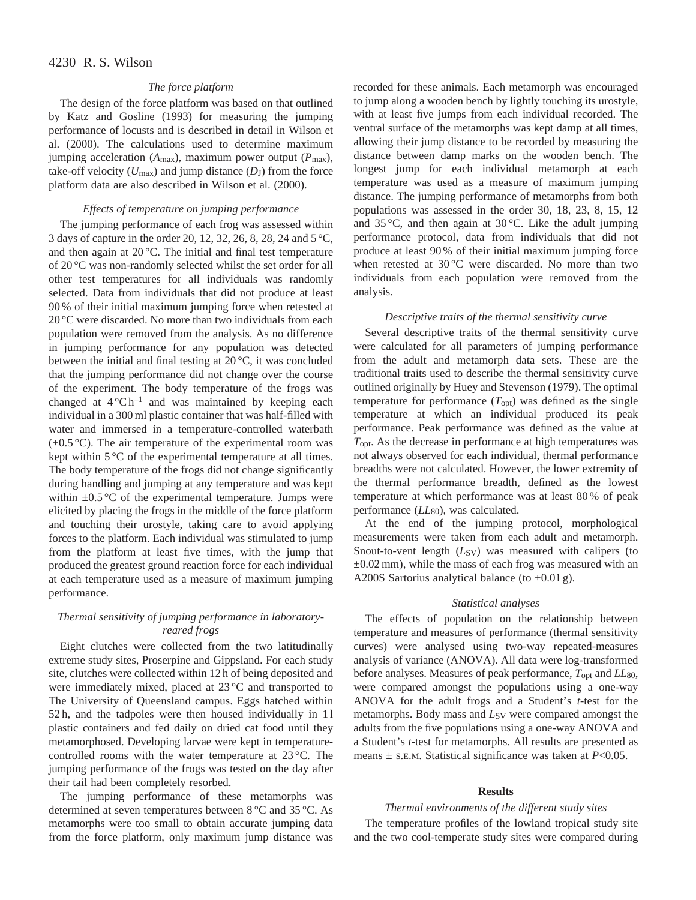### *The force platform*

The design of the force platform was based on that outlined by Katz and Gosline (1993) for measuring the jumping performance of locusts and is described in detail in Wilson et al. (2000). The calculations used to determine maximum jumping acceleration ( $A_{\text{max}}$ ), maximum power output ( $P_{\text{max}}$ ), take-off velocity  $(U_{\text{max}})$  and jump distance  $(D_J)$  from the force platform data are also described in Wilson et al. (2000).

#### *Effects of temperature on jumping performance*

The jumping performance of each frog was assessed within 3 days of capture in the order 20, 12, 32, 26, 8, 28, 24 and 5 °C, and then again at 20 °C. The initial and final test temperature of 20 °C was non-randomly selected whilst the set order for all other test temperatures for all individuals was randomly selected. Data from individuals that did not produce at least 90 % of their initial maximum jumping force when retested at 20 °C were discarded. No more than two individuals from each population were removed from the analysis. As no difference in jumping performance for any population was detected between the initial and final testing at 20 °C, it was concluded that the jumping performance did not change over the course of the experiment. The body temperature of the frogs was changed at  $4^{\circ}Ch^{-1}$  and was maintained by keeping each individual in a 300 ml plastic container that was half-filled with water and immersed in a temperature-controlled waterbath  $(\pm 0.5 \degree C)$ . The air temperature of the experimental room was kept within 5 °C of the experimental temperature at all times. The body temperature of the frogs did not change significantly during handling and jumping at any temperature and was kept within  $\pm 0.5$  °C of the experimental temperature. Jumps were elicited by placing the frogs in the middle of the force platform and touching their urostyle, taking care to avoid applying forces to the platform. Each individual was stimulated to jump from the platform at least five times, with the jump that produced the greatest ground reaction force for each individual at each temperature used as a measure of maximum jumping performance.

### *Thermal sensitivity of jumping performance in laboratoryreared frogs*

Eight clutches were collected from the two latitudinally extreme study sites, Proserpine and Gippsland. For each study site, clutches were collected within 12 h of being deposited and were immediately mixed, placed at 23 °C and transported to The University of Queensland campus. Eggs hatched within 52 h, and the tadpoles were then housed individually in 1 l plastic containers and fed daily on dried cat food until they metamorphosed. Developing larvae were kept in temperaturecontrolled rooms with the water temperature at 23 °C. The jumping performance of the frogs was tested on the day after their tail had been completely resorbed.

The jumping performance of these metamorphs was determined at seven temperatures between 8 °C and 35 °C. As metamorphs were too small to obtain accurate jumping data from the force platform, only maximum jump distance was recorded for these animals. Each metamorph was encouraged to jump along a wooden bench by lightly touching its urostyle, with at least five jumps from each individual recorded. The ventral surface of the metamorphs was kept damp at all times, allowing their jump distance to be recorded by measuring the distance between damp marks on the wooden bench. The longest jump for each individual metamorph at each temperature was used as a measure of maximum jumping distance. The jumping performance of metamorphs from both populations was assessed in the order 30, 18, 23, 8, 15, 12 and 35 °C, and then again at 30 °C. Like the adult jumping performance protocol, data from individuals that did not produce at least 90 % of their initial maximum jumping force when retested at 30 °C were discarded. No more than two individuals from each population were removed from the analysis.

#### *Descriptive traits of the thermal sensitivity curve*

Several descriptive traits of the thermal sensitivity curve were calculated for all parameters of jumping performance from the adult and metamorph data sets. These are the traditional traits used to describe the thermal sensitivity curve outlined originally by Huey and Stevenson (1979). The optimal temperature for performance  $(T_{\text{opt}})$  was defined as the single temperature at which an individual produced its peak performance. Peak performance was defined as the value at *T*opt. As the decrease in performance at high temperatures was not always observed for each individual, thermal performance breadths were not calculated. However, the lower extremity of the thermal performance breadth, defined as the lowest temperature at which performance was at least 80 % of peak performance ( $LL_{80}$ ), was calculated.

At the end of the jumping protocol, morphological measurements were taken from each adult and metamorph. Snout-to-vent length (*L*<sub>SV</sub>) was measured with calipers (to  $\pm 0.02$  mm), while the mass of each frog was measured with an A200S Sartorius analytical balance (to  $\pm 0.01$  g).

### *Statistical analyses*

The effects of population on the relationship between temperature and measures of performance (thermal sensitivity curves) were analysed using two-way repeated-measures analysis of variance (ANOVA). All data were log-transformed before analyses. Measures of peak performance, *T*opt and *LL*80, were compared amongst the populations using a one-way ANOVA for the adult frogs and a Student's *t*-test for the metamorphs. Body mass and  $L_{SV}$  were compared amongst the adults from the five populations using a one-way ANOVA and a Student's *t*-test for metamorphs. All results are presented as means  $\pm$  s.e.m. Statistical significance was taken at *P*<0.05.

#### **Results**

#### *Thermal environments of the different study sites*

The temperature profiles of the lowland tropical study site and the two cool-temperate study sites were compared during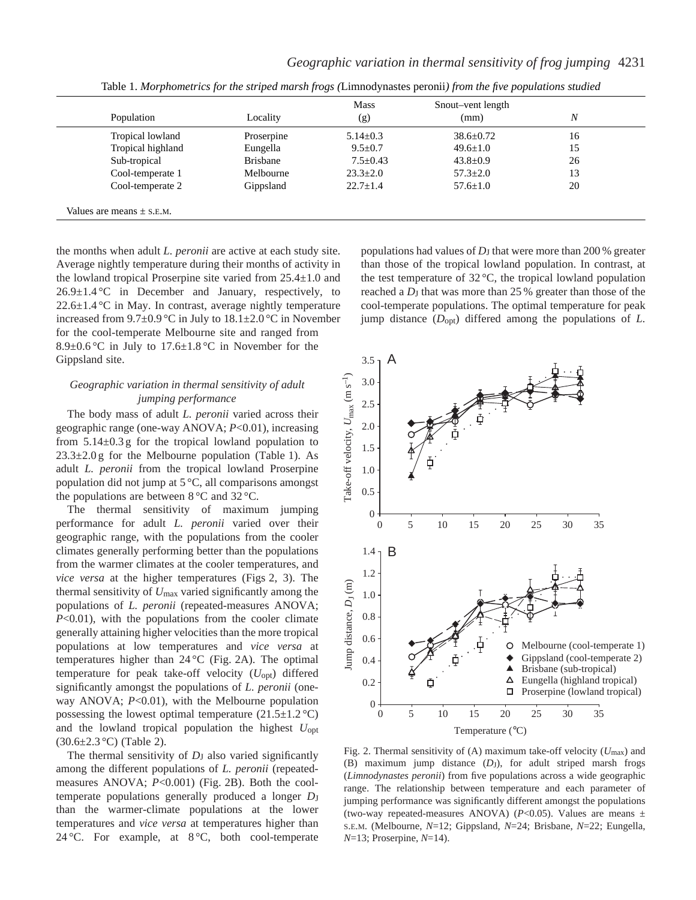| Population        | Locality        | <b>Mass</b><br>(g) | Snout-vent length<br>(mm) | $\boldsymbol{N}$ |
|-------------------|-----------------|--------------------|---------------------------|------------------|
| Tropical lowland  | Proserpine      | $5.14 + 0.3$       | $38.6 + 0.72$             | 16               |
| Tropical highland | Eungella        | $9.5 \pm 0.7$      | $49.6 \pm 1.0$            | 15               |
| Sub-tropical      | <b>Brisbane</b> | $7.5 \pm 0.43$     | $43.8 \pm 0.9$            | 26               |
| Cool-temperate 1  | Melbourne       | $23.3 \pm 2.0$     | $57.3 \pm 2.0$            | 13               |
| Cool-temperate 2  | Gippsland       | $22.7 + 1.4$       | $57.6 + 1.0$              | 20               |

Table 1. *Morphometrics for the striped marsh frogs (*Limnodynastes peronii*) from the five populations studied*

the months when adult *L. peronii* are active at each study site. Average nightly temperature during their months of activity in the lowland tropical Proserpine site varied from 25.4±1.0 and  $26.9 \pm 1.4$  °C in December and January, respectively, to  $22.6 \pm 1.4$  °C in May. In contrast, average nightly temperature increased from 9.7±0.9 °C in July to 18.1±2.0 °C in November for the cool-temperate Melbourne site and ranged from 8.9 $\pm$ 0.6 °C in July to 17.6 $\pm$ 1.8 °C in November for the Gippsland site.

### *Geographic variation in thermal sensitivity of adult jumping performance*

The body mass of adult *L. peronii* varied across their geographic range (one-way ANOVA; *P*<0.01), increasing from  $5.14\pm0.3$  g for the tropical lowland population to  $23.3 \pm 2.0$  g for the Melbourne population (Table 1). As adult *L. peronii* from the tropical lowland Proserpine population did not jump at 5 °C, all comparisons amongst the populations are between 8 °C and 32 °C.

The thermal sensitivity of maximum jumping performance for adult *L. peronii* varied over their geographic range, with the populations from the cooler climates generally performing better than the populations from the warmer climates at the cooler temperatures, and *vice versa* at the higher temperatures (Figs 2, 3). The thermal sensitivity of *U*max varied significantly among the populations of *L. peronii* (repeated-measures ANOVA; *P*<0.01), with the populations from the cooler climate generally attaining higher velocities than the more tropical populations at low temperatures and *vice versa* at temperatures higher than  $24^{\circ}$ C (Fig. 2A). The optimal temperature for peak take-off velocity (*U*opt) differed significantly amongst the populations of *L. peronii* (oneway ANOVA; *P*<0.01), with the Melbourne population possessing the lowest optimal temperature  $(21.5 \pm 1.2 \degree C)$ and the lowland tropical population the highest *U*opt  $(30.6 \pm 2.3 \degree C)$  (Table 2).

The thermal sensitivity of *D*<sub>J</sub> also varied significantly among the different populations of *L. peronii* (repeatedmeasures ANOVA; *P*<0.001) (Fig. 2B). Both the cooltemperate populations generally produced a longer *D*<sub>J</sub> than the warmer-climate populations at the lower temperatures and *vice versa* at temperatures higher than 24 °C. For example, at  $8\degree$ C, both cool-temperate

populations had values of *D*J that were more than 200 % greater than those of the tropical lowland population. In contrast, at the test temperature of  $32^{\circ}$ C, the tropical lowland population reached a *D*<sub>J</sub> that was more than 25 % greater than those of the cool-temperate populations. The optimal temperature for peak jump distance (*D*opt) differed among the populations of *L.*



Fig. 2. Thermal sensitivity of (A) maximum take-off velocity (*U*max) and (B) maximum jump distance (*D*J), for adult striped marsh frogs (*Limnodynastes peronii*) from five populations across a wide geographic range. The relationship between temperature and each parameter of jumping performance was significantly different amongst the populations (two-way repeated-measures ANOVA) ( $P<0.05$ ). Values are means  $\pm$ S.E.M. (Melbourne, *N*=12; Gippsland, *N*=24; Brisbane, *N*=22; Eungella, *N*=13; Proserpine, *N*=14).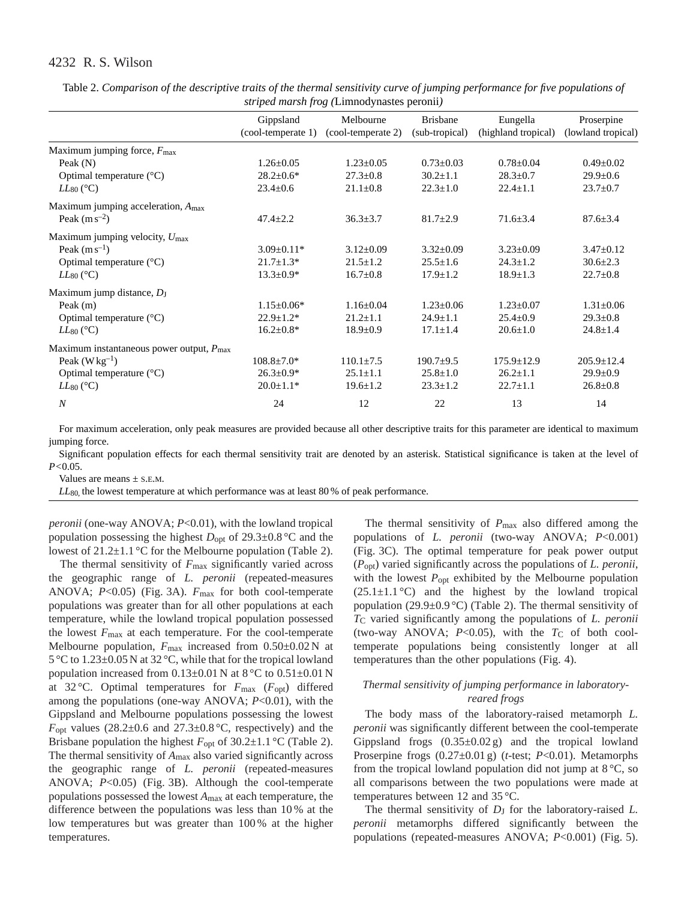| $\ldots$ . The $\ldots$ is $\ldots$ is a set of $\ldots$ is a set of $\ldots$ is a set of $\ldots$ |                                 |                                 |                                   |                                 |                                  |  |  |
|----------------------------------------------------------------------------------------------------|---------------------------------|---------------------------------|-----------------------------------|---------------------------------|----------------------------------|--|--|
|                                                                                                    | Gippsland<br>(cool-temperate 1) | Melbourne<br>(cool-temperate 2) | <b>Brisbane</b><br>(sub-tropical) | Eungella<br>(highland tropical) | Proserpine<br>(lowland tropical) |  |  |
|                                                                                                    |                                 |                                 |                                   |                                 |                                  |  |  |
| Maximum jumping force, $F_{\text{max}}$                                                            |                                 |                                 |                                   |                                 |                                  |  |  |
| Peak $(N)$                                                                                         | $1.26 \pm 0.05$                 | $1.23 \pm 0.05$                 | $0.73 \pm 0.03$                   | $0.78 \pm 0.04$                 | $0.49 \pm 0.02$                  |  |  |
| Optimal temperature $(^{\circ}C)$                                                                  | $28.2 \pm 0.6*$                 | $27.3 \pm 0.8$                  | $30.2 + 1.1$                      | $28.3 + 0.7$                    | $29.9 \pm 0.6$                   |  |  |
| $LL_{80}$ (°C)                                                                                     | $23.4 \pm 0.6$                  | $21.1 \pm 0.8$                  | $22.3 \pm 1.0$                    | $22.4 \pm 1.1$                  | $23.7 \pm 0.7$                   |  |  |
| Maximum jumping acceleration, $A_{\text{max}}$                                                     |                                 |                                 |                                   |                                 |                                  |  |  |
| Peak $(m s^{-2})$                                                                                  | $47.4 \pm 2.2$                  | $36.3 \pm 3.7$                  | $81.7 \pm 2.9$                    | $71.6 \pm 3.4$                  | $87.6 \pm 3.4$                   |  |  |
| Maximum jumping velocity, $U_{\text{max}}$                                                         |                                 |                                 |                                   |                                 |                                  |  |  |
| Peak $(m s^{-1})$                                                                                  | $3.09 \pm 0.11*$                | $3.12 \pm 0.09$                 | $3.32 \pm 0.09$                   | $3.23 \pm 0.09$                 | $3.47 \pm 0.12$                  |  |  |
| Optimal temperature $(^{\circ}C)$                                                                  | $21.7 \pm 1.3*$                 | $21.5 \pm 1.2$                  | $25.5 \pm 1.6$                    | $24.3 \pm 1.2$                  | $30.6 \pm 2.3$                   |  |  |
| $LL_{80}$ (°C)                                                                                     | $13.3 \pm 0.9*$                 | $16.7 \pm 0.8$                  | $17.9 \pm 1.2$                    | $18.9 \pm 1.3$                  | $22.7 \pm 0.8$                   |  |  |
| Maximum jump distance, DJ                                                                          |                                 |                                 |                                   |                                 |                                  |  |  |
| Peak $(m)$                                                                                         | $1.15 \pm 0.06*$                | $1.16 \pm 0.04$                 | $1.23 \pm 0.06$                   | $1.23 \pm 0.07$                 | $1.31 \pm 0.06$                  |  |  |
| Optimal temperature $(^{\circ}C)$                                                                  | $22.9 \pm 1.2^*$                | $21.2 \pm 1.1$                  | $24.9 \pm 1.1$                    | $25.4 \pm 0.9$                  | $29.3 \pm 0.8$                   |  |  |
| $LL_{80}$ (°C)                                                                                     | $16.2 \pm 0.8*$                 | $18.9 \pm 0.9$                  | $17.1 \pm 1.4$                    | $20.6 \pm 1.0$                  | $24.8 \pm 1.4$                   |  |  |
| Maximum instantaneous power output, $P_{\text{max}}$                                               |                                 |                                 |                                   |                                 |                                  |  |  |
| Peak $(W \text{ kg}^{-1})$                                                                         | $108.8 \pm 7.0*$                | $110.1 \pm 7.5$                 | $190.7 \pm 9.5$                   | $175.9 \pm 12.9$                | $205.9 \pm 12.4$                 |  |  |
| Optimal temperature $(^{\circ}C)$                                                                  | $26.3 \pm 0.9*$                 | $25.1 \pm 1.1$                  | $25.8 \pm 1.0$                    | $26.2 \pm 1.1$                  | $29.9 \pm 0.9$                   |  |  |
| $LL_{80}$ (°C)                                                                                     | $20.0 \pm 1.1*$                 | $19.6 \pm 1.2$                  | $23.3 \pm 1.2$                    | $22.7 \pm 1.1$                  | $26.8 \pm 0.8$                   |  |  |
| $\boldsymbol{N}$                                                                                   | 24                              | 12                              | 22                                | 13                              | 14                               |  |  |

Table 2. *Comparison of the descriptive traits of the thermal sensitivity curve of jumping performance for five populations of striped marsh frog (*Limnodynastes peronii*)*

For maximum acceleration, only peak measures are provided because all other descriptive traits for this parameter are identical to maximum jumping force.

Significant population effects for each thermal sensitivity trait are denoted by an asterisk. Statistical significance is taken at the level of *P<*0.05.

Values are means  $\pm$  S.E.M.

*LL*<sub>80</sub>, the lowest temperature at which performance was at least 80 % of peak performance.

*peronii* (one-way ANOVA; *P*<0.01), with the lowland tropical population possessing the highest  $D_{opt}$  of 29.3 $\pm$ 0.8 °C and the lowest of 21.2±1.1 °C for the Melbourne population (Table 2).

The thermal sensitivity of  $F_{\text{max}}$  significantly varied across the geographic range of *L. peronii* (repeated-measures ANOVA; *P*<0.05) (Fig. 3A). *F*max for both cool-temperate populations was greater than for all other populations at each temperature, while the lowland tropical population possessed the lowest *F*max at each temperature. For the cool-temperate Melbourne population,  $F_{\text{max}}$  increased from  $0.50\pm0.02$  N at 5 °C to 1.23±0.05 N at 32 °C, while that for the tropical lowland population increased from  $0.13\pm0.01$  N at  $8\degree$ C to  $0.51\pm0.01$  N at 32 °C. Optimal temperatures for *F*max (*F*opt) differed among the populations (one-way ANOVA; *P*<0.01), with the Gippsland and Melbourne populations possessing the lowest  $F_{\text{opt}}$  values (28.2 $\pm$ 0.6 and 27.3 $\pm$ 0.8 °C, respectively) and the Brisbane population the highest  $F_{opt}$  of 30.2 $\pm$ 1.1 °C (Table 2). The thermal sensitivity of *A*max also varied significantly across the geographic range of *L. peronii* (repeated-measures ANOVA; *P*<0.05) (Fig. 3B). Although the cool-temperate populations possessed the lowest *A*max at each temperature, the difference between the populations was less than 10 % at the low temperatures but was greater than 100 % at the higher temperatures.

The thermal sensitivity of *P*max also differed among the populations of *L. peronii* (two-way ANOVA; *P*<0.001) (Fig. 3C). The optimal temperature for peak power output (*P*opt) varied significantly across the populations of *L. peronii*, with the lowest  $P_{opt}$  exhibited by the Melbourne population  $(25.1 \pm 1.1 \degree C)$  and the highest by the lowland tropical population (29.9 $\pm$ 0.9 °C) (Table 2). The thermal sensitivity of *T*C varied significantly among the populations of *L. peronii* (two-way ANOVA;  $P<0.05$ ), with the  $T<sub>C</sub>$  of both cooltemperate populations being consistently longer at all temperatures than the other populations (Fig. 4).

### *Thermal sensitivity of jumping performance in laboratoryreared frogs*

The body mass of the laboratory-raised metamorph *L. peronii* was significantly different between the cool-temperate Gippsland frogs  $(0.35\pm0.02 \text{ g})$  and the tropical lowland Proserpine frogs (0.27±0.01 g) (*t*-test; *P*<0.01). Metamorphs from the tropical lowland population did not jump at  $8^{\circ}C$ , so all comparisons between the two populations were made at temperatures between 12 and 35 °C.

The thermal sensitivity of *D*<sub>J</sub> for the laboratory-raised *L*. *peronii* metamorphs differed significantly between the populations (repeated-measures ANOVA; *P*<0.001) (Fig. 5).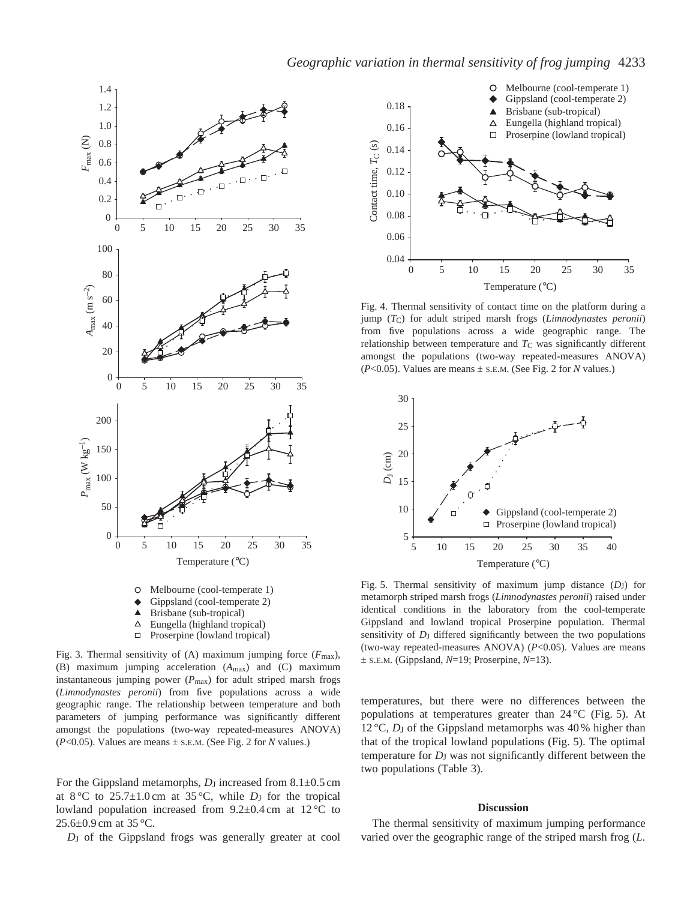### *Geographic variation in thermal sensitivity of frog jumping* 4233



Fig. 3. Thermal sensitivity of (A) maximum jumping force  $(F_{\text{max}})$ , (B) maximum jumping acceleration (*A*max) and (C) maximum instantaneous jumping power (*P*max) for adult striped marsh frogs (*Limnodynastes peronii*) from five populations across a wide geographic range. The relationship between temperature and both parameters of jumping performance was significantly different amongst the populations (two-way repeated-measures ANOVA) (*P*<0.05). Values are means ± S.E.M. (See Fig. 2 for *N* values.)

For the Gippsland metamorphs, *D*<sub>J</sub> increased from 8.1±0.5 cm at  $8^{\circ}$ C to  $25.7 \pm 1.0$  cm at  $35^{\circ}$ C, while *D*<sub>J</sub> for the tropical lowland population increased from  $9.2\pm0.4$  cm at  $12\degree$ C to 25.6±0.9 cm at 35 °C.

*D*J of the Gippsland frogs was generally greater at cool



Fig. 4. Thermal sensitivity of contact time on the platform during a jump (*T*C) for adult striped marsh frogs (*Limnodynastes peronii*) from five populations across a wide geographic range. The relationship between temperature and  $T<sub>C</sub>$  was significantly different amongst the populations (two-way repeated-measures ANOVA) (*P*<0.05). Values are means ± S.E.M. (See Fig. 2 for *N* values.)



Fig. 5. Thermal sensitivity of maximum jump distance (*D*J) for metamorph striped marsh frogs (*Limnodynastes peronii*) raised under identical conditions in the laboratory from the cool-temperate Gippsland and lowland tropical Proserpine population. Thermal sensitivity of  $D_J$  differed significantly between the two populations (two-way repeated-measures ANOVA) (*P*<0.05). Values are means ± S.E.M. (Gippsland, *N*=19; Proserpine, *N*=13).

temperatures, but there were no differences between the populations at temperatures greater than 24 °C (Fig. 5). At 12 °C, *D*<sub>J</sub> of the Gippsland metamorphs was 40 % higher than that of the tropical lowland populations (Fig. 5). The optimal temperature for *D*J was not significantly different between the two populations (Table 3).

#### **Discussion**

The thermal sensitivity of maximum jumping performance varied over the geographic range of the striped marsh frog (*L.*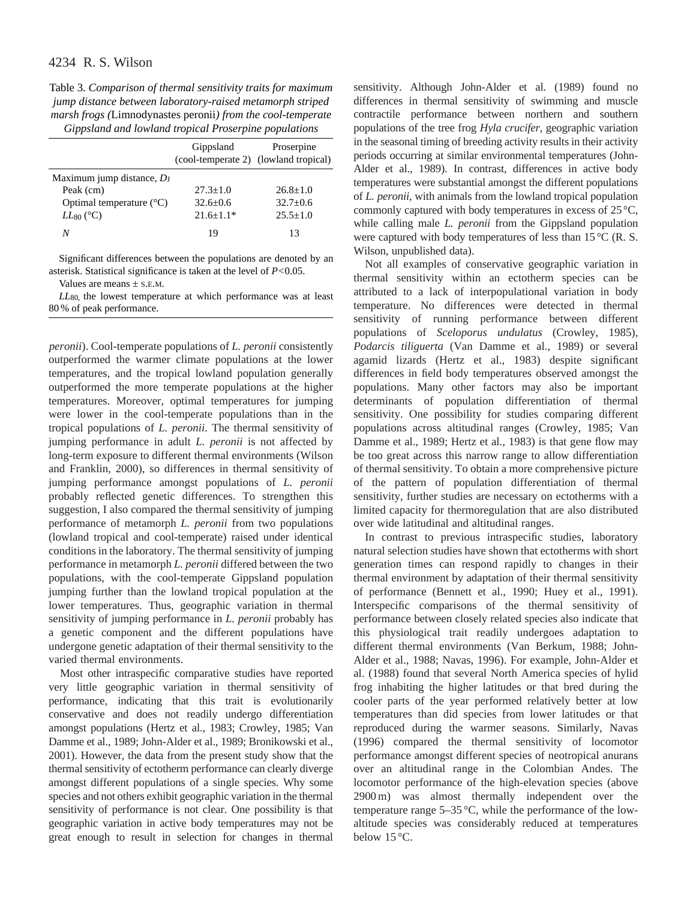Table 3. *Comparison of thermal sensitivity traits for maximum jump distance between laboratory-raised metamorph striped marsh frogs (*Limnodynastes peronii*) from the cool-temperate Gippsland and lowland tropical Proserpine populations*

|                                   | Gippsland<br>(cool-temperate 2) (lowland tropical) | Proserpine     |
|-----------------------------------|----------------------------------------------------|----------------|
| Maximum jump distance, $D_{I}$    |                                                    |                |
| Peak (cm)                         | $27.3 + 1.0$                                       | $26.8 + 1.0$   |
| Optimal temperature $(^{\circ}C)$ | $32.6 \pm 0.6$                                     | $32.7+0.6$     |
| $LL_{80}$ (°C)                    | $21.6 \pm 1.1*$                                    | $25.5 \pm 1.0$ |
| N                                 | 19                                                 | 13             |

Significant differences between the populations are denoted by an asterisk. Statistical significance is taken at the level of *P<*0.05.

Values are means ± S.E.M.

*LL*80, the lowest temperature at which performance was at least 80 % of peak performance.

*peronii*). Cool-temperate populations of *L. peronii* consistently outperformed the warmer climate populations at the lower temperatures, and the tropical lowland population generally outperformed the more temperate populations at the higher temperatures. Moreover, optimal temperatures for jumping were lower in the cool-temperate populations than in the tropical populations of *L. peronii*. The thermal sensitivity of jumping performance in adult *L. peronii* is not affected by long-term exposure to different thermal environments (Wilson and Franklin, 2000), so differences in thermal sensitivity of jumping performance amongst populations of *L. peronii* probably reflected genetic differences. To strengthen this suggestion, I also compared the thermal sensitivity of jumping performance of metamorph *L. peronii* from two populations (lowland tropical and cool-temperate) raised under identical conditions in the laboratory. The thermal sensitivity of jumping performance in metamorph *L. peronii* differed between the two populations, with the cool-temperate Gippsland population jumping further than the lowland tropical population at the lower temperatures. Thus, geographic variation in thermal sensitivity of jumping performance in *L. peronii* probably has a genetic component and the different populations have undergone genetic adaptation of their thermal sensitivity to the varied thermal environments.

Most other intraspecific comparative studies have reported very little geographic variation in thermal sensitivity of performance, indicating that this trait is evolutionarily conservative and does not readily undergo differentiation amongst populations (Hertz et al., 1983; Crowley, 1985; Van Damme et al., 1989; John-Alder et al., 1989; Bronikowski et al., 2001). However, the data from the present study show that the thermal sensitivity of ectotherm performance can clearly diverge amongst different populations of a single species. Why some species and not others exhibit geographic variation in the thermal sensitivity of performance is not clear. One possibility is that geographic variation in active body temperatures may not be great enough to result in selection for changes in thermal

sensitivity. Although John-Alder et al. (1989) found no differences in thermal sensitivity of swimming and muscle contractile performance between northern and southern populations of the tree frog *Hyla crucifer*, geographic variation in the seasonal timing of breeding activity results in their activity periods occurring at similar environmental temperatures (John-Alder et al., 1989). In contrast, differences in active body temperatures were substantial amongst the different populations of *L. peronii*, with animals from the lowland tropical population commonly captured with body temperatures in excess of 25 °C, while calling male *L. peronii* from the Gippsland population were captured with body temperatures of less than 15 °C (R. S. Wilson, unpublished data).

Not all examples of conservative geographic variation in thermal sensitivity within an ectotherm species can be attributed to a lack of interpopulational variation in body temperature. No differences were detected in thermal sensitivity of running performance between different populations of *Sceloporus undulatus* (Crowley, 1985), *Podarcis tiliguerta* (Van Damme et al., 1989) or several agamid lizards (Hertz et al., 1983) despite significant differences in field body temperatures observed amongst the populations. Many other factors may also be important determinants of population differentiation of thermal sensitivity. One possibility for studies comparing different populations across altitudinal ranges (Crowley, 1985; Van Damme et al., 1989; Hertz et al., 1983) is that gene flow may be too great across this narrow range to allow differentiation of thermal sensitivity. To obtain a more comprehensive picture of the pattern of population differentiation of thermal sensitivity, further studies are necessary on ectotherms with a limited capacity for thermoregulation that are also distributed over wide latitudinal and altitudinal ranges.

In contrast to previous intraspecific studies, laboratory natural selection studies have shown that ectotherms with short generation times can respond rapidly to changes in their thermal environment by adaptation of their thermal sensitivity of performance (Bennett et al., 1990; Huey et al., 1991). Interspecific comparisons of the thermal sensitivity of performance between closely related species also indicate that this physiological trait readily undergoes adaptation to different thermal environments (Van Berkum, 1988; John-Alder et al., 1988; Navas, 1996). For example, John-Alder et al. (1988) found that several North America species of hylid frog inhabiting the higher latitudes or that bred during the cooler parts of the year performed relatively better at low temperatures than did species from lower latitudes or that reproduced during the warmer seasons. Similarly, Navas (1996) compared the thermal sensitivity of locomotor performance amongst different species of neotropical anurans over an altitudinal range in the Colombian Andes. The locomotor performance of the high-elevation species (above 2900 m) was almost thermally independent over the temperature range 5–35 °C, while the performance of the lowaltitude species was considerably reduced at temperatures below 15 °C.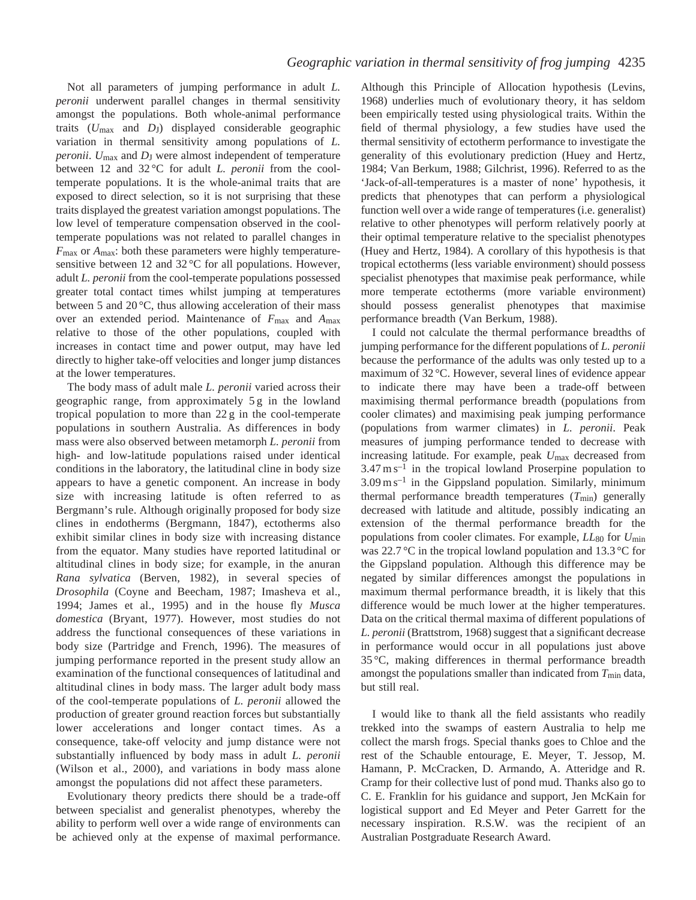Not all parameters of jumping performance in adult *L. peronii* underwent parallel changes in thermal sensitivity amongst the populations. Both whole-animal performance traits  $(U_{\text{max}}$  and  $D_J$ ) displayed considerable geographic variation in thermal sensitivity among populations of *L. peronii*. *U*max and *D*J were almost independent of temperature between 12 and 32 °C for adult *L. peronii* from the cooltemperate populations. It is the whole-animal traits that are exposed to direct selection, so it is not surprising that these traits displayed the greatest variation amongst populations. The low level of temperature compensation observed in the cooltemperate populations was not related to parallel changes in *F*max or *A*max: both these parameters were highly temperaturesensitive between 12 and 32 °C for all populations. However, adult *L. peronii* from the cool-temperate populations possessed greater total contact times whilst jumping at temperatures between 5 and 20 °C, thus allowing acceleration of their mass over an extended period. Maintenance of *F*max and *A*max relative to those of the other populations, coupled with increases in contact time and power output, may have led directly to higher take-off velocities and longer jump distances at the lower temperatures.

The body mass of adult male *L. peronii* varied across their geographic range, from approximately 5 g in the lowland tropical population to more than 22 g in the cool-temperate populations in southern Australia. As differences in body mass were also observed between metamorph *L. peronii* from high- and low-latitude populations raised under identical conditions in the laboratory, the latitudinal cline in body size appears to have a genetic component. An increase in body size with increasing latitude is often referred to as Bergmann's rule. Although originally proposed for body size clines in endotherms (Bergmann, 1847), ectotherms also exhibit similar clines in body size with increasing distance from the equator. Many studies have reported latitudinal or altitudinal clines in body size; for example, in the anuran *Rana sylvatica* (Berven, 1982), in several species of *Drosophila* (Coyne and Beecham, 1987; Imasheva et al., 1994; James et al., 1995) and in the house fly *Musca domestica* (Bryant, 1977). However, most studies do not address the functional consequences of these variations in body size (Partridge and French, 1996). The measures of jumping performance reported in the present study allow an examination of the functional consequences of latitudinal and altitudinal clines in body mass. The larger adult body mass of the cool-temperate populations of *L. peronii* allowed the production of greater ground reaction forces but substantially lower accelerations and longer contact times. As a consequence, take-off velocity and jump distance were not substantially influenced by body mass in adult *L. peronii* (Wilson et al., 2000), and variations in body mass alone amongst the populations did not affect these parameters.

Evolutionary theory predicts there should be a trade-off between specialist and generalist phenotypes, whereby the ability to perform well over a wide range of environments can be achieved only at the expense of maximal performance. Although this Principle of Allocation hypothesis (Levins, 1968) underlies much of evolutionary theory, it has seldom been empirically tested using physiological traits. Within the field of thermal physiology, a few studies have used the thermal sensitivity of ectotherm performance to investigate the generality of this evolutionary prediction (Huey and Hertz, 1984; Van Berkum, 1988; Gilchrist, 1996). Referred to as the 'Jack-of-all-temperatures is a master of none' hypothesis, it predicts that phenotypes that can perform a physiological function well over a wide range of temperatures (i.e. generalist) relative to other phenotypes will perform relatively poorly at their optimal temperature relative to the specialist phenotypes (Huey and Hertz, 1984). A corollary of this hypothesis is that tropical ectotherms (less variable environment) should possess specialist phenotypes that maximise peak performance, while more temperate ectotherms (more variable environment) should possess generalist phenotypes that maximise performance breadth (Van Berkum, 1988).

I could not calculate the thermal performance breadths of jumping performance for the different populations of *L. peronii* because the performance of the adults was only tested up to a maximum of 32 °C. However, several lines of evidence appear to indicate there may have been a trade-off between maximising thermal performance breadth (populations from cooler climates) and maximising peak jumping performance (populations from warmer climates) in *L. peronii*. Peak measures of jumping performance tended to decrease with increasing latitude. For example, peak *U*max decreased from  $3.47 \text{ m s}^{-1}$  in the tropical lowland Proserpine population to  $3.09 \text{ m s}^{-1}$  in the Gippsland population. Similarly, minimum thermal performance breadth temperatures  $(T_{\text{min}})$  generally decreased with latitude and altitude, possibly indicating an extension of the thermal performance breadth for the populations from cooler climates. For example, *LL*80 for *U*min was 22.7 °C in the tropical lowland population and 13.3 °C for the Gippsland population. Although this difference may be negated by similar differences amongst the populations in maximum thermal performance breadth, it is likely that this difference would be much lower at the higher temperatures. Data on the critical thermal maxima of different populations of *L. peronii* (Brattstrom, 1968) suggest that a significant decrease in performance would occur in all populations just above 35 °C, making differences in thermal performance breadth amongst the populations smaller than indicated from  $T_{\text{min}}$  data, but still real.

I would like to thank all the field assistants who readily trekked into the swamps of eastern Australia to help me collect the marsh frogs. Special thanks goes to Chloe and the rest of the Schauble entourage, E. Meyer, T. Jessop, M. Hamann, P. McCracken, D. Armando, A. Atteridge and R. Cramp for their collective lust of pond mud. Thanks also go to C. E. Franklin for his guidance and support, Jen McKain for logistical support and Ed Meyer and Peter Garrett for the necessary inspiration. R.S.W. was the recipient of an Australian Postgraduate Research Award.